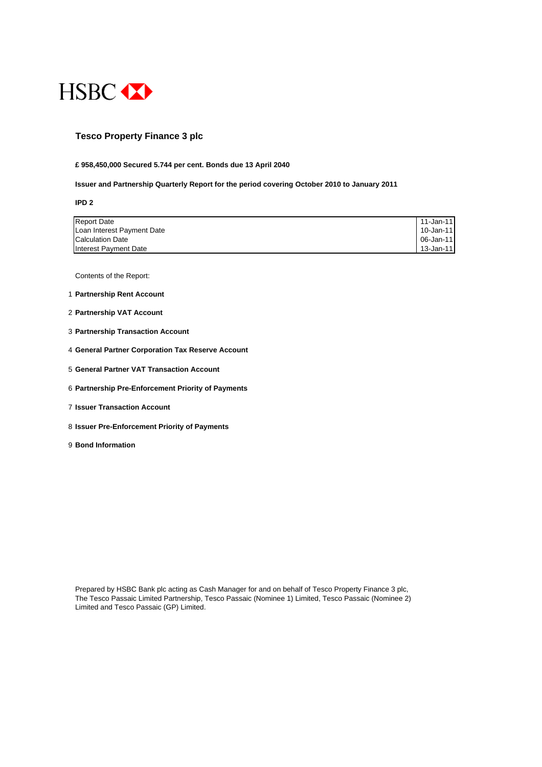

### **Tesco Property Finance 3 plc**

#### **£ 958,450,000 Secured 5.744 per cent. Bonds due 13 April 2040**

#### **Issuer and Partnership Quarterly Report for the period covering October 2010 to January 2011**

**IPD 2**

| <b>Report Date</b>         | 11-Jan-11 <b>1</b> |
|----------------------------|--------------------|
| Loan Interest Payment Date | 10-Jan-11          |
| <b>Calculation Date</b>    |                    |
| Interest Payment Date      | 13-Jan-11 I        |

Contents of the Report:

- 1 **Partnership Rent Account**
- 2 **Partnership VAT Account**
- 3 **Partnership Transaction Account**
- 4 **General Partner Corporation Tax Reserve Account**
- 5 **General Partner VAT Transaction Account**
- 6 **Partnership Pre-Enforcement Priority of Payments**
- 7 **Issuer Transaction Account**
- 8 **Issuer Pre-Enforcement Priority of Payments**
- 9 **Bond Information**

Prepared by HSBC Bank plc acting as Cash Manager for and on behalf of Tesco Property Finance 3 plc, The Tesco Passaic Limited Partnership, Tesco Passaic (Nominee 1) Limited, Tesco Passaic (Nominee 2) Limited and Tesco Passaic (GP) Limited.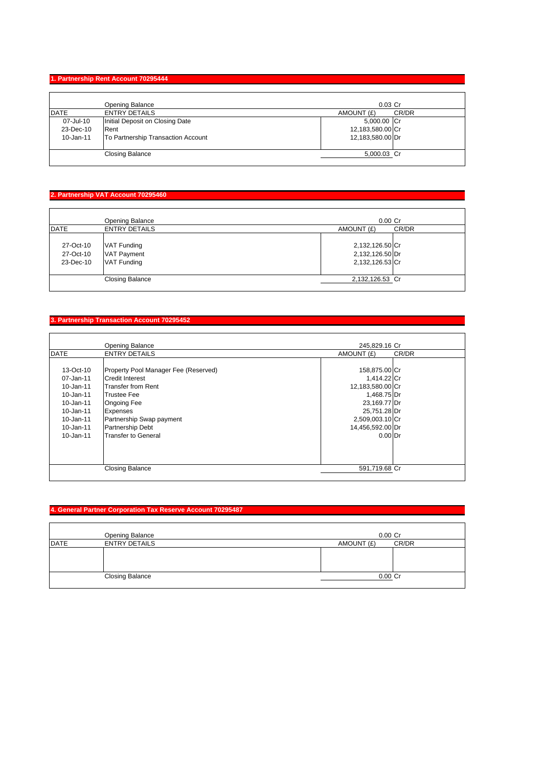### **1. Partnership Rent Account 70295444**

|             | Opening Balance                    | $0.03$ Cr        |       |
|-------------|------------------------------------|------------------|-------|
| <b>DATE</b> | <b>ENTRY DETAILS</b>               | AMOUNT (£)       | CR/DR |
| 07-Jul-10   | Initial Deposit on Closing Date    | 5,000.00 Cr      |       |
| 23-Dec-10   | Rent                               | 12,183,580.00 Cr |       |
| 10-Jan-11   | To Partnership Transaction Account | 12,183,580.00 Dr |       |
|             | <b>Closing Balance</b>             | 5,000.03 Cr      |       |

### **2. Partnership VAT Account 70295460**

|             | Opening Balance        | $0.00$ Cr       |       |
|-------------|------------------------|-----------------|-------|
| <b>DATE</b> | <b>ENTRY DETAILS</b>   | AMOUNT (£)      | CR/DR |
|             |                        |                 |       |
| 27-Oct-10   | VAT Funding            | 2,132,126.50 Cr |       |
| 27-Oct-10   | <b>VAT Payment</b>     | 2,132,126.50 Dr |       |
| 23-Dec-10   | <b>VAT Funding</b>     | 2,132,126.53 Cr |       |
|             |                        |                 |       |
|             | <b>Closing Balance</b> | 2,132,126.53 Cr |       |
|             |                        |                 |       |

### **3. Partnership Transaction Account 70295452**

 $\overline{a}$ 

|               | <b>Opening Balance</b>               | 245,829.16 Cr    |       |
|---------------|--------------------------------------|------------------|-------|
| <b>DATE</b>   | <b>ENTRY DETAILS</b>                 | AMOUNT (£)       | CR/DR |
|               |                                      |                  |       |
| $13-Oct-10$   | Property Pool Manager Fee (Reserved) | 158,875.00 Cr    |       |
| 07-Jan-11     | <b>Credit Interest</b>               | 1,414.22 Cr      |       |
| $10 - Jan-11$ | <b>Transfer from Rent</b>            | 12,183,580.00 Cr |       |
| 10-Jan-11     | Trustee Fee                          | 1,468.75 Dr      |       |
| 10-Jan-11     | <b>Ongoing Fee</b>                   | 23,169.77 Dr     |       |
| 10-Jan-11     | <b>Expenses</b>                      | 25,751.28 Dr     |       |
| 10-Jan-11     | Partnership Swap payment             | 2,509,003.10 Cr  |       |
| 10-Jan-11     | <b>Partnership Debt</b>              | 14,456,592.00 Dr |       |
| $10 - Jan-11$ | Transfer to General                  | $0.00$ Dr        |       |
|               |                                      |                  |       |
|               | <b>Closing Balance</b>               | 591,719.68 Cr    |       |

# **4. General Partner Corporation Tax Reserve Account 70295487**

|             | Opening Balance        | $0.00$ Cr           |  |
|-------------|------------------------|---------------------|--|
| <b>DATE</b> | <b>ENTRY DETAILS</b>   | CR/DR<br>AMOUNT (£) |  |
|             |                        |                     |  |
|             |                        |                     |  |
|             |                        |                     |  |
|             | <b>Closing Balance</b> | 0.00 Cr             |  |
|             |                        |                     |  |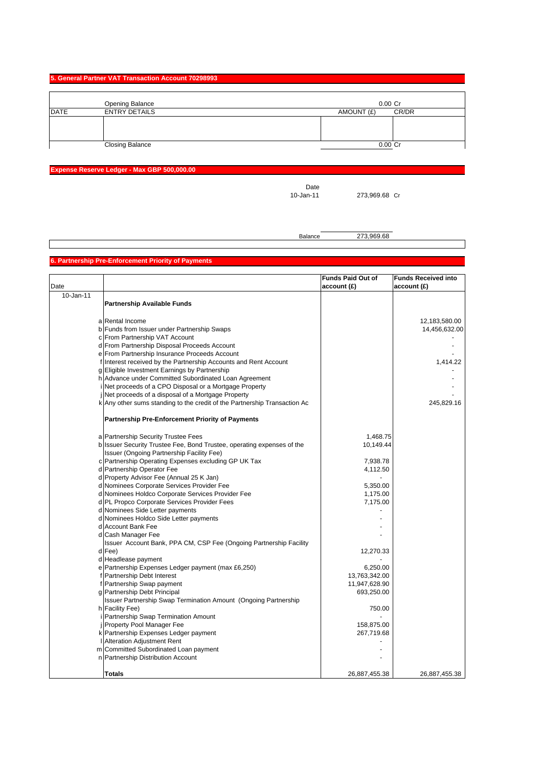#### **5. General Partner VAT Transaction Account 70298993**

|             | Opening Balance        | $0.00$ Cr           |
|-------------|------------------------|---------------------|
| <b>DATE</b> | <b>ENTRY DETAILS</b>   | CR/DR<br>AMOUNT (£) |
|             |                        |                     |
|             |                        |                     |
|             |                        |                     |
|             | <b>Closing Balance</b> | 0.00 Cr             |

## **Expense Reserve Ledger - Max GBP 500,000.00**

Date<br>10-Jan-11

273,969.68 Cr

Balance 273,969.68

# **6. Partnership Pre-Enforcement Priority of Payments**

|           |                                                                           | <b>Funds Paid Out of</b> | <b>Funds Received into</b> |
|-----------|---------------------------------------------------------------------------|--------------------------|----------------------------|
| Date      |                                                                           | account (£)              | account (£)                |
| 10-Jan-11 |                                                                           |                          |                            |
|           | <b>Partnership Available Funds</b>                                        |                          |                            |
|           |                                                                           |                          |                            |
|           | a Rental Income                                                           |                          | 12,183,580.00              |
|           | b Funds from Issuer under Partnership Swaps                               |                          | 14,456,632.00              |
|           | c From Partnership VAT Account                                            |                          |                            |
|           | d From Partnership Disposal Proceeds Account                              |                          |                            |
|           | e From Partnership Insurance Proceeds Account                             |                          |                            |
|           | f Interest received by the Partnership Accounts and Rent Account          |                          | 1,414.22                   |
|           | g Eligible Investment Earnings by Partnership                             |                          |                            |
|           | h Advance under Committed Subordinated Loan Agreement                     |                          |                            |
|           | Net proceeds of a CPO Disposal or a Mortgage Property                     |                          |                            |
|           | Net proceeds of a disposal of a Mortgage Property                         |                          |                            |
|           | k Any other sums standing to the credit of the Partnership Transaction Ac |                          | 245,829.16                 |
|           |                                                                           |                          |                            |
|           | <b>Partnership Pre-Enforcement Priority of Payments</b>                   |                          |                            |
|           | a Partnership Security Trustee Fees                                       | 1,468.75                 |                            |
|           | b Issuer Security Trustee Fee, Bond Trustee, operating expenses of the    | 10,149.44                |                            |
|           | Issuer (Ongoing Partnership Facility Fee)                                 |                          |                            |
|           | c Partnership Operating Expenses excluding GP UK Tax                      | 7,938.78                 |                            |
|           | d Partnership Operator Fee                                                | 4,112.50                 |                            |
|           | d Property Advisor Fee (Annual 25 K Jan)                                  |                          |                            |
|           | d Nominees Corporate Services Provider Fee                                | 5,350.00                 |                            |
|           | d Nominees Holdco Corporate Services Provider Fee                         | 1,175.00                 |                            |
|           | d PL Propco Corporate Services Provider Fees                              | 7,175.00                 |                            |
|           | d Nominees Side Letter payments                                           |                          |                            |
|           | d Nominees Holdco Side Letter payments                                    |                          |                            |
|           | d Account Bank Fee                                                        |                          |                            |
|           | d Cash Manager Fee                                                        |                          |                            |
|           | Issuer Account Bank, PPA CM, CSP Fee (Ongoing Partnership Facility        |                          |                            |
|           | d Fee)                                                                    | 12,270.33                |                            |
|           | d Headlease payment                                                       |                          |                            |
|           | e Partnership Expenses Ledger payment (max £6,250)                        | 6,250.00                 |                            |
|           | f Partnership Debt Interest                                               | 13,763,342.00            |                            |
|           | f Partnership Swap payment                                                | 11,947,628.90            |                            |
|           | g Partnership Debt Principal                                              | 693,250.00               |                            |
|           | Issuer Partnership Swap Termination Amount (Ongoing Partnership           |                          |                            |
|           | h Facility Fee)                                                           | 750.00                   |                            |
|           | i Partnership Swap Termination Amount                                     |                          |                            |
|           | <b>i</b> Property Pool Manager Fee                                        | 158,875.00               |                            |
|           | k Partnership Expenses Ledger payment                                     | 267,719.68               |                            |
|           | <b>Alteration Adjustment Rent</b>                                         |                          |                            |
|           | m Committed Subordinated Loan payment                                     |                          |                            |
|           | n Partnership Distribution Account                                        |                          |                            |
|           |                                                                           |                          |                            |
|           | Totals                                                                    | 26,887,455.38            | 26,887,455.38              |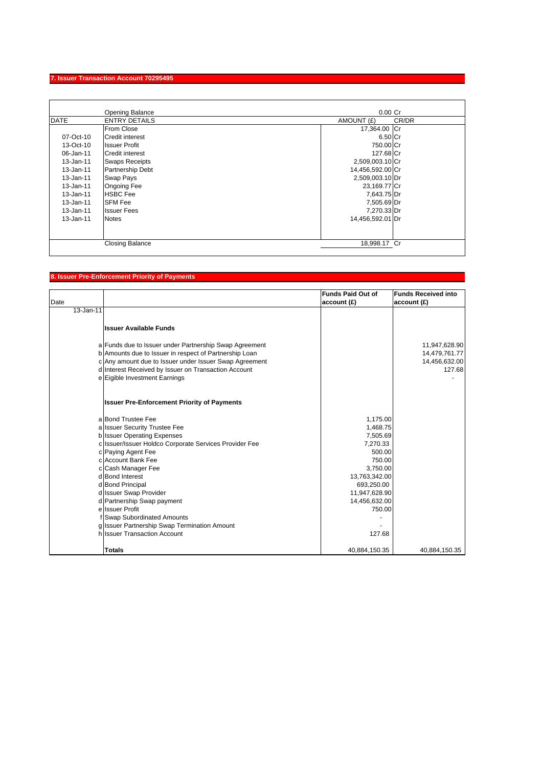### **7. Issuer Transaction Account 70295495**

|             | Opening Balance        | $0.00$ Cr        |       |
|-------------|------------------------|------------------|-------|
| <b>DATE</b> | <b>ENTRY DETAILS</b>   | AMOUNT (£)       | CR/DR |
|             | From Close             | 17,364.00 Cr     |       |
| 07-Oct-10   | <b>Credit interest</b> | 6.50 Cr          |       |
| 13-Oct-10   | <b>Issuer Profit</b>   | 750.00 Cr        |       |
| 06-Jan-11   | <b>Credit interest</b> | 127.68 Cr        |       |
| 13-Jan-11   | <b>Swaps Receipts</b>  | 2,509,003.10 Cr  |       |
| 13-Jan-11   | Partnership Debt       | 14,456,592.00 Cr |       |
| 13-Jan-11   | <b>Swap Pays</b>       | 2,509,003.10 Dr  |       |
| 13-Jan-11   | <b>Ongoing Fee</b>     | 23,169.77 Cr     |       |
| 13-Jan-11   | <b>HSBC</b> Fee        | 7,643.75 Dr      |       |
| 13-Jan-11   | <b>SFM Fee</b>         | 7,505.69 Dr      |       |
| 13-Jan-11   | <b>Issuer Fees</b>     | 7,270.33 Dr      |       |
| 13-Jan-11   | <b>Notes</b>           | 14,456,592.01 Dr |       |
|             |                        |                  |       |
|             |                        |                  |       |
|             | <b>Closing Balance</b> | 18,998.17 Cr     |       |
|             |                        |                  |       |

# **8. Issuer Pre-Enforcement Priority of Payments**

| Date      |                                                                                                                                                                            | <b>Funds Paid Out of</b><br>account(E) | <b>Funds Received into</b><br>account(E)        |
|-----------|----------------------------------------------------------------------------------------------------------------------------------------------------------------------------|----------------------------------------|-------------------------------------------------|
| 13-Jan-11 |                                                                                                                                                                            |                                        |                                                 |
|           | <b>Issuer Available Funds</b>                                                                                                                                              |                                        |                                                 |
|           | a Funds due to Issuer under Partnership Swap Agreement<br>b Amounts due to Issuer in respect of Partnership Loan<br>c Any amount due to Issuer under Issuer Swap Agreement |                                        | 11,947,628.90<br>14,479,761.77<br>14,456,632.00 |
|           | d Interest Received by Issuer on Transaction Account                                                                                                                       |                                        | 127.68                                          |
|           | e Eigible Investment Earnings                                                                                                                                              |                                        |                                                 |
|           | <b>Issuer Pre-Enforcement Priority of Payments</b>                                                                                                                         |                                        |                                                 |
|           | a Bond Trustee Fee                                                                                                                                                         | 1,175.00                               |                                                 |
|           | a Issuer Security Trustee Fee                                                                                                                                              | 1,468.75                               |                                                 |
|           | b Issuer Operating Expenses                                                                                                                                                | 7,505.69                               |                                                 |
|           | c Issuer/Issuer Holdco Corporate Services Provider Fee                                                                                                                     | 7,270.33                               |                                                 |
|           | c Paying Agent Fee                                                                                                                                                         | 500.00                                 |                                                 |
|           | c Account Bank Fee                                                                                                                                                         | 750.00                                 |                                                 |
|           | c Cash Manager Fee<br>d Bond Interest                                                                                                                                      | 3,750.00                               |                                                 |
|           | d Bond Principal                                                                                                                                                           | 13,763,342.00<br>693,250.00            |                                                 |
|           | d Issuer Swap Provider                                                                                                                                                     | 11,947,628.90                          |                                                 |
|           | d Partnership Swap payment                                                                                                                                                 | 14,456,632.00                          |                                                 |
|           | e Issuer Profit                                                                                                                                                            | 750.00                                 |                                                 |
|           | f Swap Subordinated Amounts                                                                                                                                                |                                        |                                                 |
|           | g Issuer Partnership Swap Termination Amount                                                                                                                               |                                        |                                                 |
|           | h Issuer Transaction Account                                                                                                                                               | 127.68                                 |                                                 |
|           | <b>Totals</b>                                                                                                                                                              | 40,884,150.35                          | 40,884,150.35                                   |